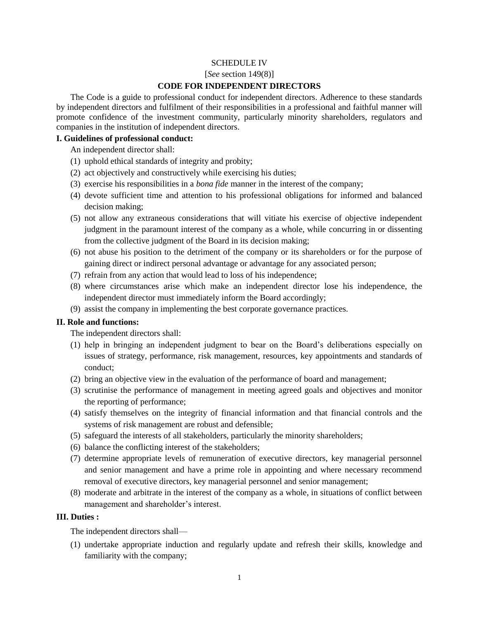#### SCHEDULE IV

#### [*See* section 149(8)]

#### **CODE FOR INDEPENDENT DIRECTORS**

The Code is a guide to professional conduct for independent directors. Adherence to these standards by independent directors and fulfilment of their responsibilities in a professional and faithful manner will promote confidence of the investment community, particularly minority shareholders, regulators and companies in the institution of independent directors.

#### **I. Guidelines of professional conduct:**

An independent director shall:

- (1) uphold ethical standards of integrity and probity;
- (2) act objectively and constructively while exercising his duties;
- (3) exercise his responsibilities in a *bona fide* manner in the interest of the company;
- (4) devote sufficient time and attention to his professional obligations for informed and balanced decision making;
- (5) not allow any extraneous considerations that will vitiate his exercise of objective independent judgment in the paramount interest of the company as a whole, while concurring in or dissenting from the collective judgment of the Board in its decision making;
- (6) not abuse his position to the detriment of the company or its shareholders or for the purpose of gaining direct or indirect personal advantage or advantage for any associated person;
- (7) refrain from any action that would lead to loss of his independence;
- (8) where circumstances arise which make an independent director lose his independence, the independent director must immediately inform the Board accordingly;
- (9) assist the company in implementing the best corporate governance practices.

## **II. Role and functions:**

The independent directors shall:

- (1) help in bringing an independent judgment to bear on the Board's deliberations especially on issues of strategy, performance, risk management, resources, key appointments and standards of conduct;
- (2) bring an objective view in the evaluation of the performance of board and management;
- (3) scrutinise the performance of management in meeting agreed goals and objectives and monitor the reporting of performance;
- (4) satisfy themselves on the integrity of financial information and that financial controls and the systems of risk management are robust and defensible;
- (5) safeguard the interests of all stakeholders, particularly the minority shareholders;
- (6) balance the conflicting interest of the stakeholders;
- (7) determine appropriate levels of remuneration of executive directors, key managerial personnel and senior management and have a prime role in appointing and where necessary recommend removal of executive directors, key managerial personnel and senior management;
- (8) moderate and arbitrate in the interest of the company as a whole, in situations of conflict between management and shareholder's interest.

## **III. Duties :**

The independent directors shall—

(1) undertake appropriate induction and regularly update and refresh their skills, knowledge and familiarity with the company;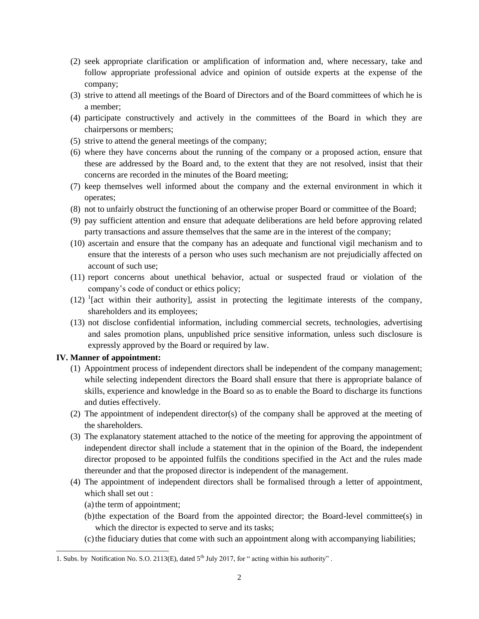- (2) seek appropriate clarification or amplification of information and, where necessary, take and follow appropriate professional advice and opinion of outside experts at the expense of the company;
- (3) strive to attend all meetings of the Board of Directors and of the Board committees of which he is a member;
- (4) participate constructively and actively in the committees of the Board in which they are chairpersons or members;
- (5) strive to attend the general meetings of the company;
- (6) where they have concerns about the running of the company or a proposed action, ensure that these are addressed by the Board and, to the extent that they are not resolved, insist that their concerns are recorded in the minutes of the Board meeting;
- (7) keep themselves well informed about the company and the external environment in which it operates;
- (8) not to unfairly obstruct the functioning of an otherwise proper Board or committee of the Board;
- (9) pay sufficient attention and ensure that adequate deliberations are held before approving related party transactions and assure themselves that the same are in the interest of the company;
- (10) ascertain and ensure that the company has an adequate and functional vigil mechanism and to ensure that the interests of a person who uses such mechanism are not prejudicially affected on account of such use;
- (11) report concerns about unethical behavior, actual or suspected fraud or violation of the company's code of conduct or ethics policy;
- $(12)$  <sup>1</sup>[act within their authority], assist in protecting the legitimate interests of the company, shareholders and its employees;
- (13) not disclose confidential information, including commercial secrets, technologies, advertising and sales promotion plans, unpublished price sensitive information, unless such disclosure is expressly approved by the Board or required by law.

## **IV. Manner of appointment:**

- (1) Appointment process of independent directors shall be independent of the company management; while selecting independent directors the Board shall ensure that there is appropriate balance of skills, experience and knowledge in the Board so as to enable the Board to discharge its functions and duties effectively.
- (2) The appointment of independent director(s) of the company shall be approved at the meeting of the shareholders.
- (3) The explanatory statement attached to the notice of the meeting for approving the appointment of independent director shall include a statement that in the opinion of the Board, the independent director proposed to be appointed fulfils the conditions specified in the Act and the rules made thereunder and that the proposed director is independent of the management.
- (4) The appointment of independent directors shall be formalised through a letter of appointment, which shall set out :
	- (a)the term of appointment;

 $\overline{a}$ 

- (b)the expectation of the Board from the appointed director; the Board-level committee(s) in which the director is expected to serve and its tasks;
- (c)the fiduciary duties that come with such an appointment along with accompanying liabilities;

<sup>1.</sup> Subs. by Notification No. S.O. 2113(E), dated 5<sup>th</sup> July 2017, for " acting within his authority".